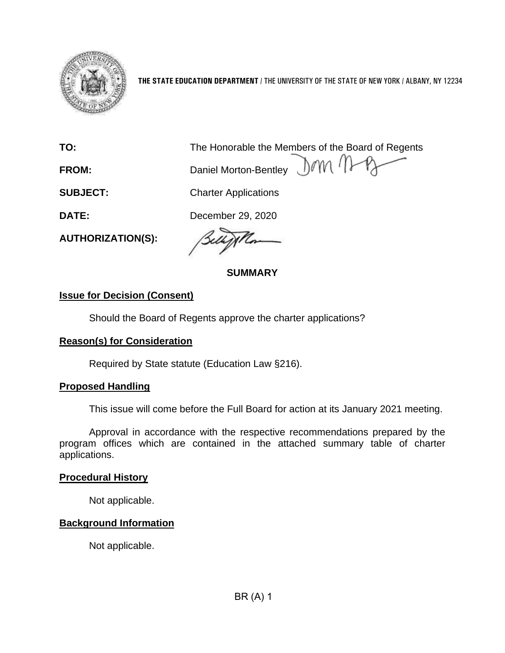

**THE STATE EDUCATION DEPARTMENT** / THE UNIVERSITY OF THE STATE OF NEW YORK / ALBANY, NY 12234

**TO:** The Honorable the Members of the Board of Regents

**FROM:** Daniel Morton-Bentley

**SUBJECT:** Charter Applications

**DATE:** December 29, 2020

**AUTHORIZATION(S):** 

**SUMMARY** 

# **Issue for Decision (Consent)**

Should the Board of Regents approve the charter applications?

### **Reason(s) for Consideration**

Required by State statute (Education Law §216).

### **Proposed Handling**

This issue will come before the Full Board for action at its January 2021 meeting.

Approval in accordance with the respective recommendations prepared by the program offices which are contained in the attached summary table of charter applications.

#### **Procedural History**

Not applicable.

### **Background Information**

Not applicable.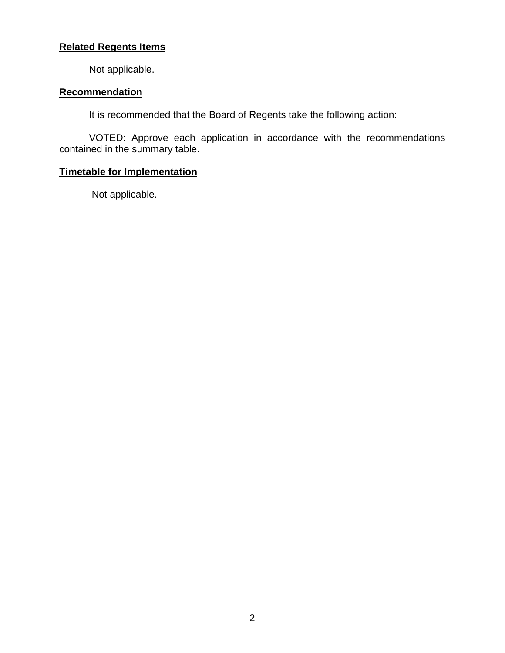# **Related Regents Items**

Not applicable.

#### **Recommendation**

It is recommended that the Board of Regents take the following action:

VOTED: Approve each application in accordance with the recommendations contained in the summary table.

### **Timetable for Implementation**

Not applicable.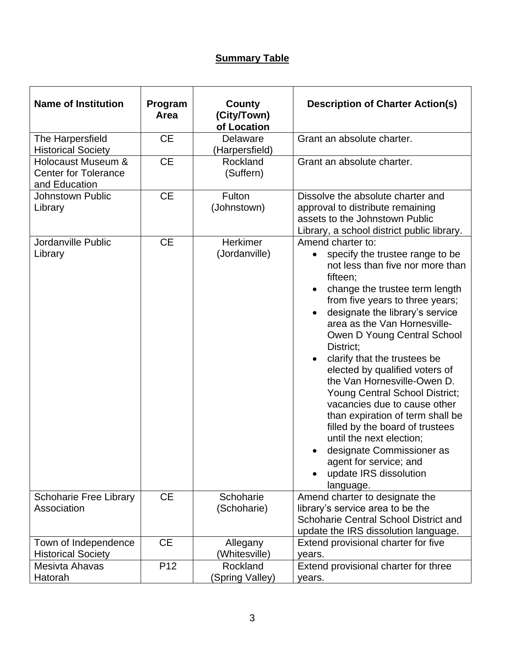# **Summary Table**

| <b>Name of Institution</b>                                         | Program<br>Area | County<br>(City/Town)<br>of Location | <b>Description of Charter Action(s)</b>                                                                                                                                                                                                                                                                                                                                                                                                                                                                                                                                                                                                                                                                                              |
|--------------------------------------------------------------------|-----------------|--------------------------------------|--------------------------------------------------------------------------------------------------------------------------------------------------------------------------------------------------------------------------------------------------------------------------------------------------------------------------------------------------------------------------------------------------------------------------------------------------------------------------------------------------------------------------------------------------------------------------------------------------------------------------------------------------------------------------------------------------------------------------------------|
| The Harpersfield<br><b>Historical Society</b>                      | <b>CE</b>       | Delaware<br>(Harpersfield)           | Grant an absolute charter.                                                                                                                                                                                                                                                                                                                                                                                                                                                                                                                                                                                                                                                                                                           |
| Holocaust Museum &<br><b>Center for Tolerance</b><br>and Education | <b>CE</b>       | Rockland<br>(Suffern)                | Grant an absolute charter.                                                                                                                                                                                                                                                                                                                                                                                                                                                                                                                                                                                                                                                                                                           |
| <b>Johnstown Public</b><br>Library                                 | <b>CE</b>       | Fulton<br>(Johnstown)                | Dissolve the absolute charter and<br>approval to distribute remaining<br>assets to the Johnstown Public<br>Library, a school district public library.                                                                                                                                                                                                                                                                                                                                                                                                                                                                                                                                                                                |
| Jordanville Public<br>Library                                      | <b>CE</b>       | Herkimer<br>(Jordanville)            | Amend charter to:<br>specify the trustee range to be<br>$\bullet$<br>not less than five nor more than<br>fifteen;<br>change the trustee term length<br>$\bullet$<br>from five years to three years;<br>designate the library's service<br>$\bullet$<br>area as the Van Hornesville-<br>Owen D Young Central School<br>District;<br>clarify that the trustees be<br>$\bullet$<br>elected by qualified voters of<br>the Van Hornesville-Owen D.<br><b>Young Central School District;</b><br>vacancies due to cause other<br>than expiration of term shall be<br>filled by the board of trustees<br>until the next election;<br>designate Commissioner as<br>$\bullet$<br>agent for service; and<br>update IRS dissolution<br>language. |
| <b>Schoharie Free Library</b><br>Association                       | <b>CE</b>       | Schoharie<br>(Schoharie)             | Amend charter to designate the<br>library's service area to be the<br>Schoharie Central School District and<br>update the IRS dissolution language.                                                                                                                                                                                                                                                                                                                                                                                                                                                                                                                                                                                  |
| Town of Independence<br><b>Historical Society</b>                  | <b>CE</b>       | Allegany<br>(Whitesville)            | Extend provisional charter for five<br>years.                                                                                                                                                                                                                                                                                                                                                                                                                                                                                                                                                                                                                                                                                        |
| Mesivta Ahavas<br>Hatorah                                          | P <sub>12</sub> | Rockland<br>(Spring Valley)          | Extend provisional charter for three<br>years.                                                                                                                                                                                                                                                                                                                                                                                                                                                                                                                                                                                                                                                                                       |